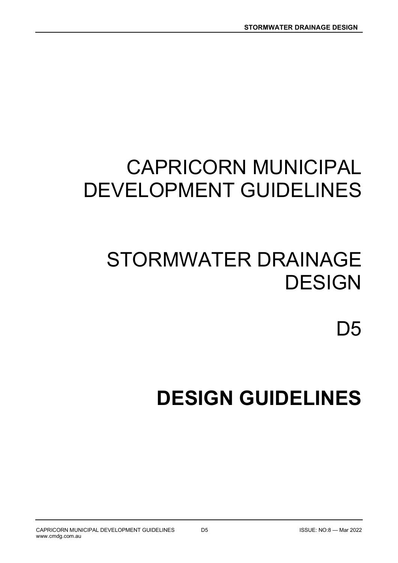# CAPRICORN MUNICIPAL DEVELOPMENT GUIDELINES

# STORMWATER DRAINAGE **DESIGN**

D<sub>5</sub>

# DESIGN GUIDELINES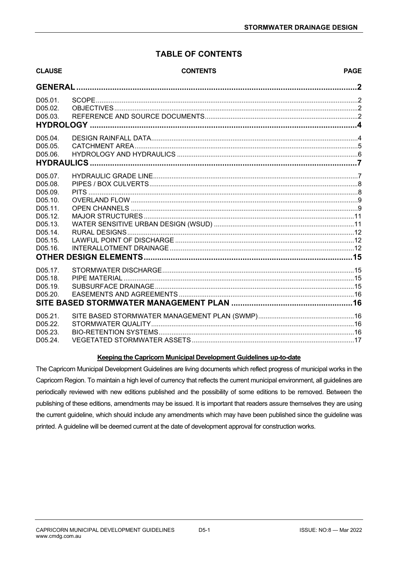## TABLE OF CONTENTS

| <b>CLAUSE</b>                                                                                              | <b>CONTENTS</b> | <b>PAGE</b> |
|------------------------------------------------------------------------------------------------------------|-----------------|-------------|
| <b>GENERAL</b>                                                                                             |                 |             |
| D05.01.<br>D05.02.<br>D05.03.                                                                              |                 |             |
| D05.04.<br>D05.05.<br>D05.06.                                                                              |                 |             |
| D05.07.<br>D05.08.<br>D05.09.<br>D05.10.<br>D05.11.<br>D05.12.<br>D05.13.<br>D05.14.<br>D05.15.<br>D05.16. |                 |             |
| D05.17.<br>D05.18.<br>D05.19.<br>D05.20.                                                                   |                 |             |
| D05.21.<br>D05.22.<br>D05.23.<br>D <sub>05.24</sub>                                                        |                 |             |

## Keeping the Capricorn Municipal Development Guidelines up-to-date

The Capricorn Municipal Development Guidelines are living documents which reflect progress of municipal works in the Capricorn Region. To maintain a high level of currency that reflects the current municipal environment, all guidelines are periodically reviewed with new editions published and the possibility of some editions to be removed. Between the publishing of these editions, amendments may be issued. It is important that readers assure themselves they are using the current guideline, which should include any amendments which may have been published since the guideline was printed. A guideline will be deemed current at the date of development approval for construction works.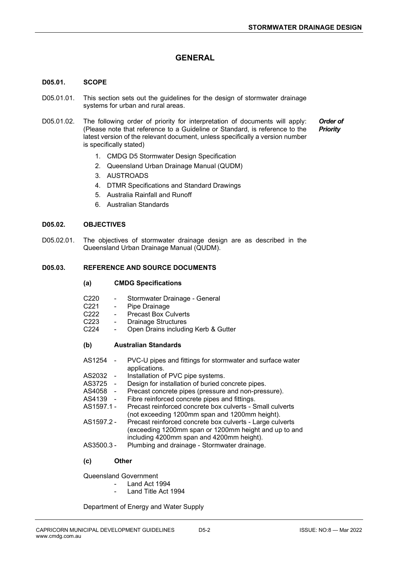## **GENERAL**

#### D05.01. SCOPE

- D05.01.01. This section sets out the guidelines for the design of stormwater drainage systems for urban and rural areas.
- D05.01.02. The following order of priority for interpretation of documents will apply: (Please note that reference to a Guideline or Standard, is reference to the latest version of the relevant document, unless specifically a version number is specifically stated)

Order of **Priority** 

- 1. CMDG D5 Stormwater Design Specification
- 2. Queensland Urban Drainage Manual (QUDM)
- 3. AUSTROADS
- 4. DTMR Specifications and Standard Drawings
- 5. Australia Rainfall and Runoff
- 6. Australian Standards

#### D05.02. OBJECTIVES

D05.02.01. The objectives of stormwater drainage design are as described in the Queensland Urban Drainage Manual (QUDM).

#### D05.03. REFERENCE AND SOURCE DOCUMENTS

#### (a) CMDG Specifications

- C220 Stormwater Drainage General
- C221 Pipe Drainage
- C222 Precast Box Culverts
- C223 Drainage Structures
- C224 Open Drains including Kerb & Gutter

#### (b) Australian Standards

- AS1254 PVC-U pipes and fittings for stormwater and surface water applications.
- AS2032 Installation of PVC pipe systems.
- AS3725 Design for installation of buried concrete pipes.<br>AS4058 Precast concrete pipes (pressure and non-pres
- AS4058 Precast concrete pipes (pressure and non-pressure).<br>AS4139 Fibre reinforced concrete pipes and fittings.
	- Fibre reinforced concrete pipes and fittings.
- AS1597.1 Precast reinforced concrete box culverts Small culverts (not exceeding 1200mm span and 1200mm height).
- AS1597.2 Precast reinforced concrete box culverts Large culverts (exceeding 1200mm span or 1200mm height and up to and including 4200mm span and 4200mm height).
- AS3500.3 Plumbing and drainage Stormwater drainage.

#### (c) Other

Queensland Government

- Land Act 1994
	- Land Title Act 1994

Department of Energy and Water Supply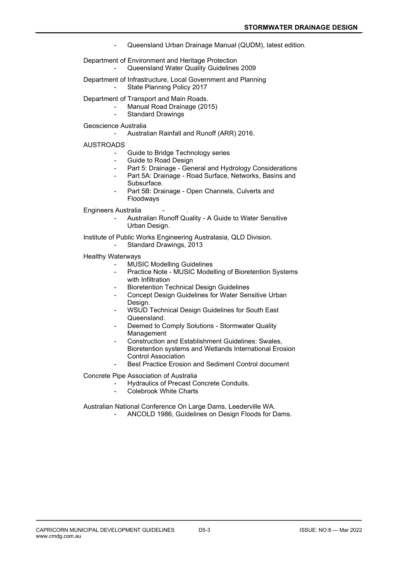- Queensland Urban Drainage Manual (QUDM), latest edition.

 Department of Environment and Heritage Protection Queensland Water Quality Guidelines 2009

- Department of Infrastructure, Local Government and Planning
	- State Planning Policy 2017

Department of Transport and Main Roads.

- Manual Road Drainage (2015)
- Standard Drawings

Geoscience Australia

Australian Rainfall and Runoff (ARR) 2016.

#### **AUSTROADS**

- Guide to Bridge Technology series
- Guide to Road Design
- Part 5: Drainage General and Hydrology Considerations
- Part 5A: Drainage Road Surface, Networks, Basins and Subsurface.
- Part 5B: Drainage Open Channels, Culverts and Floodways

Engineers Australia

Australian Runoff Quality - A Guide to Water Sensitive Urban Design.

 Institute of Public Works Engineering Australasia, QLD Division. Standard Drawings, 2013

- Healthy Waterways
	- MUSIC Modelling Guidelines
	- Practice Note MUSIC Modelling of Bioretention Systems with Infiltration
	- Bioretention Technical Design Guidelines
	- Concept Design Guidelines for Water Sensitive Urban Design.
	- WSUD Technical Design Guidelines for South East Queensland.
	- Deemed to Comply Solutions Stormwater Quality Management
	- Construction and Establishment Guidelines: Swales, Bioretention systems and Wetlands International Erosion Control Association
	- Best Practice Erosion and Sediment Control document

Concrete Pipe Association of Australia

- Hydraulics of Precast Concrete Conduits.
	- Colebrook White Charts

Australian National Conference On Large Dams, Leederville WA.

- ANCOLD 1986, Guidelines on Design Floods for Dams.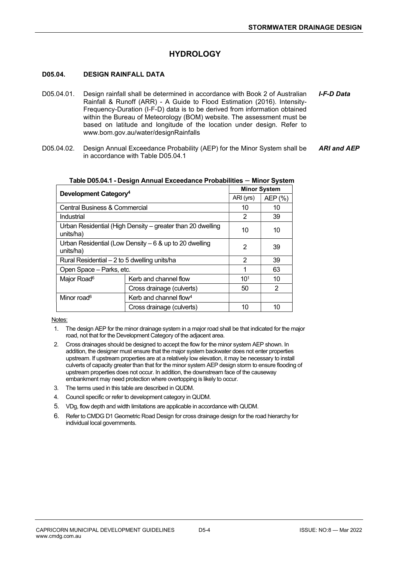## **HYDROLOGY**

#### D05.04. DESIGN RAINFALL DATA

- D05.04.01. Design rainfall shall be determined in accordance with Book 2 of Australian Rainfall & Runoff (ARR) - A Guide to Flood Estimation (2016). Intensity-Frequency-Duration (I-F-D) data is to be derived from information obtained within the Bureau of Meteorology (BOM) website. The assessment must be based on latitude and longitude of the location under design. Refer to www.bom.gov.au/water/designRainfalls I-F-D Data
- D05.04.02. Design Annual Exceedance Probability (AEP) for the Minor System shall be in accordance with Table D05.04.1 ARI and AEP

| Development Category <sup>4</sup>                                       | <b>Minor System</b>                |                 |    |
|-------------------------------------------------------------------------|------------------------------------|-----------------|----|
|                                                                         | ARI (yrs)                          | AEP (%)         |    |
| <b>Central Business &amp; Commercial</b>                                |                                    | 10              | 10 |
| Industrial                                                              |                                    | 2               | 39 |
| Urban Residential (High Density – greater than 20 dwelling<br>units/ha) | 10                                 | 10              |    |
| Urban Residential (Low Density $-6$ & up to 20 dwelling<br>units/ha)    | 2                                  | 39              |    |
| Rural Residential – 2 to 5 dwelling units/ha                            | 2                                  | 39              |    |
| Open Space - Parks, etc.                                                | 1                                  | 63              |    |
| Major Road <sup>6</sup>                                                 | Kerb and channel flow              | 10 <sup>1</sup> | 10 |
|                                                                         | Cross drainage (culverts)          |                 | 2  |
| Minor road <sup>6</sup>                                                 | Kerb and channel flow <sup>4</sup> |                 |    |
|                                                                         | Cross drainage (culverts)          |                 | 10 |

#### Table D05.04.1 - Design Annual Exceedance Probabilities – Minor System

Notes:

- 1. The design AEP for the minor drainage system in a major road shall be that indicated for the major road, not that for the Development Category of the adjacent area.
- 2. Cross drainages should be designed to accept the flow for the minor system AEP shown. In addition, the designer must ensure that the major system backwater does not enter properties upstream. If upstream properties are at a relatively low elevation, it may be necessary to install culverts of capacity greater than that for the minor system AEP design storm to ensure flooding of upstream properties does not occur. In addition, the downstream face of the causeway embankment may need protection where overtopping is likely to occur.
- 3. The terms used in this table are described in QUDM.
- 4. Council specific or refer to development category in QUDM.
- 5. VDg, flow depth and width limitations are applicable in accordance with QUDM.
- 6. Refer to CMDG D1 Geometric Road Design for cross drainage design for the road hierarchy for individual local governments.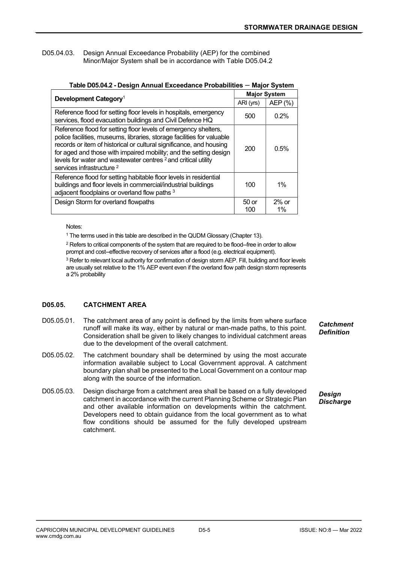#### D05.04.03. Design Annual Exceedance Probability (AEP) for the combined Minor/Major System shall be in accordance with Table D05.04.2

|                                                                                                                                                                                                                                                                                                                                                                                                            |              | <b>Major System</b> |  |  |
|------------------------------------------------------------------------------------------------------------------------------------------------------------------------------------------------------------------------------------------------------------------------------------------------------------------------------------------------------------------------------------------------------------|--------------|---------------------|--|--|
| Development Category <sup>1</sup>                                                                                                                                                                                                                                                                                                                                                                          | ARI (yrs)    | AEP (%)             |  |  |
| Reference flood for setting floor levels in hospitals, emergency<br>services, flood evacuation buildings and Civil Defence HQ                                                                                                                                                                                                                                                                              | 500          | 0.2%                |  |  |
| Reference flood for setting floor levels of emergency shelters,<br>police facilities, museums, libraries, storage facilities for valuable<br>records or item of historical or cultural significance, and housing<br>for aged and those with impaired mobility; and the setting design<br>levels for water and wastewater centres <sup>2</sup> and critical utility<br>services infrastructure <sup>2</sup> | 200          | 0.5%                |  |  |
| Reference flood for setting habitable floor levels in residential<br>buildings and floor levels in commercial/industrial buildings<br>adjacent floodplains or overland flow paths 3                                                                                                                                                                                                                        | 100          | $1\%$               |  |  |
| Design Storm for overland flowpaths                                                                                                                                                                                                                                                                                                                                                                        | 50 or<br>100 | $2%$ or<br>1%       |  |  |

#### Table D05.04.2 - Design Annual Exceedance Probabilities – Major System

Notes:

<sup>1</sup> The terms used in this table are described in the QUDM Glossary (Chapter 13).

 $2$  Refers to critical components of the system that are required to be flood--free in order to allow prompt and cost--effective recovery of services after a flood (e.g. electrical equipment).

<sup>3</sup> Refer to relevant local authority for confirmation of design storm AEP. Fill, building and floor levels are usually set relative to the 1% AEP event even if the overland flow path design storm represents a 2% probability

## D05.05. CATCHMENT AREA

- D05.05.01. The catchment area of any point is defined by the limits from where surface runoff will make its way, either by natural or man-made paths, to this point. Consideration shall be given to likely changes to individual catchment areas due to the development of the overall catchment.
- D05.05.02. The catchment boundary shall be determined by using the most accurate information available subject to Local Government approval. A catchment boundary plan shall be presented to the Local Government on a contour map along with the source of the information.
- D05.05.03. Design discharge from a catchment area shall be based on a fully developed catchment in accordance with the current Planning Scheme or Strategic Plan and other available information on developments within the catchment. Developers need to obtain guidance from the local government as to what flow conditions should be assumed for the fully developed upstream catchment.

**Catchment Definition** 

**Desian Discharge**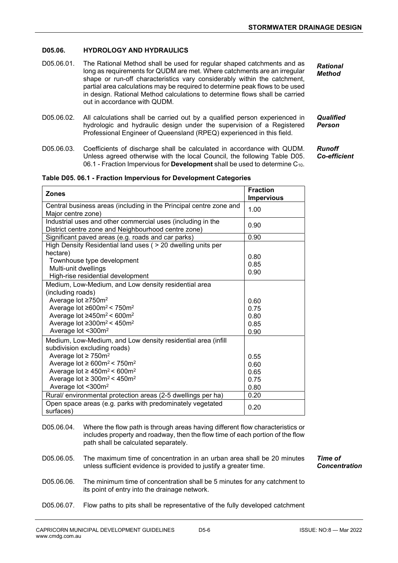#### D05.06. HYDROLOGY AND HYDRAULICS

- D05.06.01. The Rational Method shall be used for regular shaped catchments and as long as requirements for QUDM are met. Where catchments are an irregular shape or run-off characteristics vary considerably within the catchment, partial area calculations may be required to determine peak flows to be used in design. Rational Method calculations to determine flows shall be carried out in accordance with QUDM. Rational Method
- D05.06.02. All calculations shall be carried out by a qualified person experienced in hydrologic and hydraulic design under the supervision of a Registered Professional Engineer of Queensland (RPEQ) experienced in this field. Person
- D05.06.03. Coefficients of discharge shall be calculated in accordance with QUDM. Unless agreed otherwise with the local Council, the following Table D05. 06.1 - Fraction Impervious for Development shall be used to determine C<sub>10</sub>.

**Qualified** 

Runoff Co-efficient

#### Table D05. 06.1 - Fraction Impervious for Development Categories

| <b>Zones</b>                                                                                                       | <b>Fraction</b><br><b>Impervious</b> |
|--------------------------------------------------------------------------------------------------------------------|--------------------------------------|
| Central business areas (including in the Principal centre zone and<br>Major centre zone)                           | 1.00                                 |
| Industrial uses and other commercial uses (including in the<br>District centre zone and Neighbourhood centre zone) | 0.90                                 |
| Significant paved areas (e.g. roads and car parks)                                                                 | 0.90                                 |
| High Density Residential land uses ( > 20 dwelling units per                                                       |                                      |
| hectare)                                                                                                           | 0.80                                 |
| Townhouse type development                                                                                         | 0.85                                 |
| Multi-unit dwellings                                                                                               | 0.90                                 |
| High-rise residential development                                                                                  |                                      |
| Medium, Low-Medium, and Low density residential area                                                               |                                      |
| (including roads)                                                                                                  |                                      |
| Average lot ≥750m <sup>2</sup>                                                                                     | 0.60                                 |
| Average lot ≥600m <sup>2</sup> < 750m <sup>2</sup>                                                                 | 0.75                                 |
| Average lot $\geq 450$ m <sup>2</sup> < 600m <sup>2</sup>                                                          | 0.80                                 |
| Average lot $\geq 300$ m <sup>2</sup> < 450m <sup>2</sup>                                                          | 0.85                                 |
| Average lot <300m <sup>2</sup>                                                                                     | 0.90                                 |
| Medium, Low-Medium, and Low density residential area (infill<br>subdivision excluding roads)                       |                                      |
| Average lot $\geq$ 750m <sup>2</sup>                                                                               | 0.55                                 |
| Average lot $\geq 600$ m <sup>2</sup> < 750m <sup>2</sup>                                                          | 0.60                                 |
| Average lot $\geq 450$ m <sup>2</sup> < 600m <sup>2</sup>                                                          | 0.65                                 |
| Average lot $\geq 300$ m <sup>2</sup> < 450m <sup>2</sup>                                                          | 0.75                                 |
| Average lot <300m <sup>2</sup>                                                                                     | 0.80                                 |
| Rural/ environmental protection areas (2-5 dwellings per ha)                                                       | 0.20                                 |
| Open space areas (e.g. parks with predominately vegetated<br>surfaces)                                             | 0.20                                 |

- D05.06.04. Where the flow path is through areas having different flow characteristics or includes property and roadway, then the flow time of each portion of the flow path shall be calculated separately.
- D05.06.05. The maximum time of concentration in an urban area shall be 20 minutes unless sufficient evidence is provided to justify a greater time.
- D05.06.06. The minimum time of concentration shall be 5 minutes for any catchment to its point of entry into the drainage network.
- D05.06.07. Flow paths to pits shall be representative of the fully developed catchment

Time of Concentration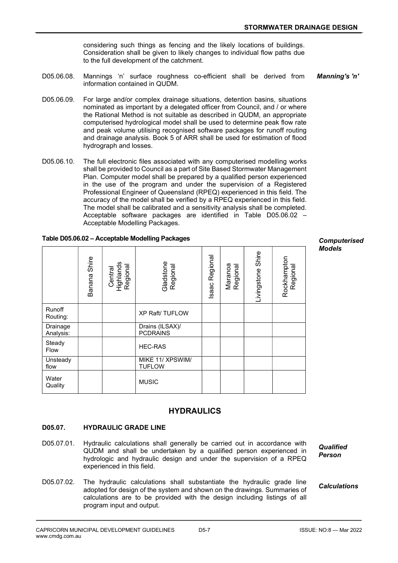considering such things as fencing and the likely locations of buildings. Consideration shall be given to likely changes to individual flow paths due to the full development of the catchment.

- D05.06.08. Mannings 'n' surface roughness co-efficient shall be derived from information contained in QUDM. Manning's 'n'
- D05.06.09. For large and/or complex drainage situations, detention basins, situations nominated as important by a delegated officer from Council, and / or where the Rational Method is not suitable as described in QUDM, an appropriate computerised hydrological model shall be used to determine peak flow rate and peak volume utilising recognised software packages for runoff routing and drainage analysis. Book 5 of ARR shall be used for estimation of flood hydrograph and losses.
- D05.06.10. The full electronic files associated with any computerised modelling works shall be provided to Council as a part of Site Based Stormwater Management Plan. Computer model shall be prepared by a qualified person experienced in the use of the program and under the supervision of a Registered Professional Engineer of Queensland (RPEQ) experienced in this field. The accuracy of the model shall be verified by a RPEQ experienced in this field. The model shall be calibrated and a sensitivity analysis shall be completed. Acceptable software packages are identified in Table D05.06.02 – Acceptable Modelling Packages.

|                       | Shire<br>Banana | ᠊ᢛ<br>Centra<br>Regiona<br>ত্ত<br>Highi | Gladstone<br>Regional              | Regional<br><b>Isaac</b> | Maranoa<br>Regional | Shire<br>Livingstone | Rockhampton<br>Regional | <b>Models</b> |
|-----------------------|-----------------|-----------------------------------------|------------------------------------|--------------------------|---------------------|----------------------|-------------------------|---------------|
| Runoff<br>Routing:    |                 |                                         | <b>XP Raft/ TUFLOW</b>             |                          |                     |                      |                         |               |
| Drainage<br>Analysis: |                 |                                         | Drains (ILSAX)/<br><b>PCDRAINS</b> |                          |                     |                      |                         |               |
| Steady                |                 |                                         | IITO BAO                           |                          |                     |                      |                         |               |

MIKE 11/ XPSWIM/

TUFLOW

#### Table D05.06.02 – Acceptable Modelling Packages

**Computerised** Models

## HYDRAULICS

#### D05.07. HYDRAULIC GRADE LINE

Steady | | | | | HEC-RAS

watch and **MUSIC**<br>Quality **MUSIC** 

**Unsteady** flow

Water<br>Quality

D05.07.01. Hydraulic calculations shall generally be carried out in accordance with QUDM and shall be undertaken by a qualified person experienced in hydrologic and hydraulic design and under the supervision of a RPEQ experienced in this field.

**Qualified** Person

#### **Calculations**

D05.07.02. The hydraulic calculations shall substantiate the hydraulic grade line adopted for design of the system and shown on the drawings. Summaries of calculations are to be provided with the design including listings of all program input and output.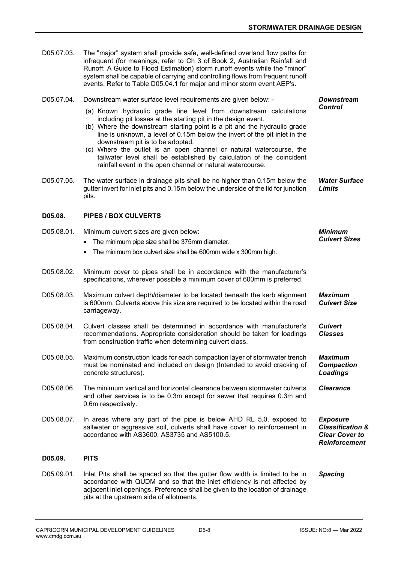Downstream **Control** 

D05.07.03. The "major" system shall provide safe, well-defined overland flow paths for infrequent (for meanings, refer to Ch 3 of Book 2, Australian Rainfall and Runoff: A Guide to Flood Estimation) storm runoff events while the "minor" system shall be capable of carrying and controlling flows from frequent runoff events. Refer to Table D05.04.1 for major and minor storm event AEP's.

- D05.07.04. Downstream water surface level requirements are given below:
	- (a) Known hydraulic grade line level from downstream calculations including pit losses at the starting pit in the design event.
	- (b) Where the downstream starting point is a pit and the hydraulic grade line is unknown, a level of 0.15m below the invert of the pit inlet in the downstream pit is to be adopted.
	- (c) Where the outlet is an open channel or natural watercourse, the tailwater level shall be established by calculation of the coincident rainfall event in the open channel or natural watercourse.
- D05.07.05. The water surface in drainage pits shall be no higher than 0.15m below the gutter invert for inlet pits and 0.15m below the underside of the lid for junction pits. Water Surface Limits

#### D05.08. PIPES / BOX CULVERTS

| D05.08.01. | Minimum culvert sizes are given below:<br>The minimum pipe size shall be 375mm diameter.<br>$\bullet$<br>The minimum box culvert size shall be 600mm wide x 300mm high.                                                                                                                | <b>Minimum</b><br><b>Culvert Sizes</b>                                                          |
|------------|----------------------------------------------------------------------------------------------------------------------------------------------------------------------------------------------------------------------------------------------------------------------------------------|-------------------------------------------------------------------------------------------------|
| D05.08.02. | Minimum cover to pipes shall be in accordance with the manufacturer's<br>specifications, wherever possible a minimum cover of 600mm is preferred.                                                                                                                                      |                                                                                                 |
| D05.08.03. | Maximum culvert depth/diameter to be located beneath the kerb alignment<br>is 600mm. Culverts above this size are required to be located within the road<br>carriageway.                                                                                                               | <b>Maximum</b><br><b>Culvert Size</b>                                                           |
| D05.08.04. | Culvert classes shall be determined in accordance with manufacturer's<br>recommendations. Appropriate consideration should be taken for loadings<br>from construction traffic when determining culvert class.                                                                          | <b>Culvert</b><br><b>Classes</b>                                                                |
| D05.08.05. | Maximum construction loads for each compaction layer of stormwater trench<br>must be nominated and included on design (Intended to avoid cracking of<br>concrete structures).                                                                                                          | <b>Maximum</b><br><b>Compaction</b><br><b>Loadings</b>                                          |
| D05.08.06. | The minimum vertical and horizontal clearance between stormwater culverts<br>and other services is to be 0.3m except for sewer that requires 0.3m and<br>0.6m respectively.                                                                                                            | <b>Clearance</b>                                                                                |
| D05.08.07. | In areas where any part of the pipe is below AHD RL 5.0, exposed to<br>saltwater or aggressive soil, culverts shall have cover to reinforcement in<br>accordance with AS3600, AS3735 and AS5100.5.                                                                                     | <b>Exposure</b><br><b>Classification &amp;</b><br><b>Clear Cover to</b><br><b>Reinforcement</b> |
| D05.09.    | <b>PITS</b>                                                                                                                                                                                                                                                                            |                                                                                                 |
| D05.09.01. | Inlet Pits shall be spaced so that the gutter flow width is limited to be in<br>accordance with QUDM and so that the inlet efficiency is not affected by<br>adjacent inlet openings. Preference shall be given to the location of drainage<br>pits at the upstream side of allotments. | <b>Spacing</b>                                                                                  |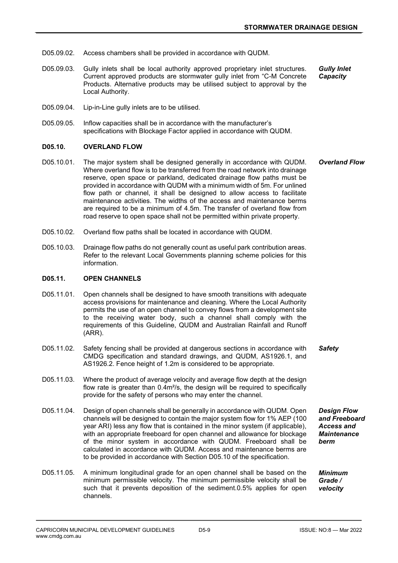- D05.09.02. Access chambers shall be provided in accordance with QUDM.
- D05.09.03. Gully inlets shall be local authority approved proprietary inlet structures. Current approved products are stormwater gully inlet from "C-M Concrete Products. Alternative products may be utilised subject to approval by the Local Authority. Gully Inlet **Capacity**
- D05.09.04. Lip-in-Line gully inlets are to be utilised.
- D05.09.05. Inflow capacities shall be in accordance with the manufacturer's specifications with Blockage Factor applied in accordance with QUDM.

#### D05.10. OVERLAND FLOW

- D05.10.01. The major system shall be designed generally in accordance with QUDM. Where overland flow is to be transferred from the road network into drainage reserve, open space or parkland, dedicated drainage flow paths must be provided in accordance with QUDM with a minimum width of 5m. For unlined flow path or channel, it shall be designed to allow access to facilitate maintenance activities. The widths of the access and maintenance berms are required to be a minimum of 4.5m. The transfer of overland flow from road reserve to open space shall not be permitted within private property. Overland Flow
- D05.10.02. Overland flow paths shall be located in accordance with QUDM.
- D05.10.03. Drainage flow paths do not generally count as useful park contribution areas. Refer to the relevant Local Governments planning scheme policies for this information.

#### D05.11. OPEN CHANNELS

- D05.11.01. Open channels shall be designed to have smooth transitions with adequate access provisions for maintenance and cleaning. Where the Local Authority permits the use of an open channel to convey flows from a development site to the receiving water body, such a channel shall comply with the requirements of this Guideline, QUDM and Australian Rainfall and Runoff (ARR).
- D05.11.02. Safety fencing shall be provided at dangerous sections in accordance with CMDG specification and standard drawings, and QUDM, AS1926.1, and AS1926.2. Fence height of 1.2m is considered to be appropriate. **Safety**
- D05.11.03. Where the product of average velocity and average flow depth at the design flow rate is greater than 0.4m²/s, the design will be required to specifically provide for the safety of persons who may enter the channel.
- D05.11.04. Design of open channels shall be generally in accordance with QUDM. Open channels will be designed to contain the major system flow for 1% AEP (100 year ARI) less any flow that is contained in the minor system (if applicable), with an appropriate freeboard for open channel and allowance for blockage of the minor system in accordance with QUDM. Freeboard shall be calculated in accordance with QUDM. Access and maintenance berms are to be provided in accordance with Section D05.10 of the specification.
- D05.11.05. A minimum longitudinal grade for an open channel shall be based on the minimum permissible velocity. The minimum permissible velocity shall be such that it prevents deposition of the sediment.0.5% applies for open channels.

Design Flow and Freeboard Access and **Maintenance** berm

Minimum Grade / velocity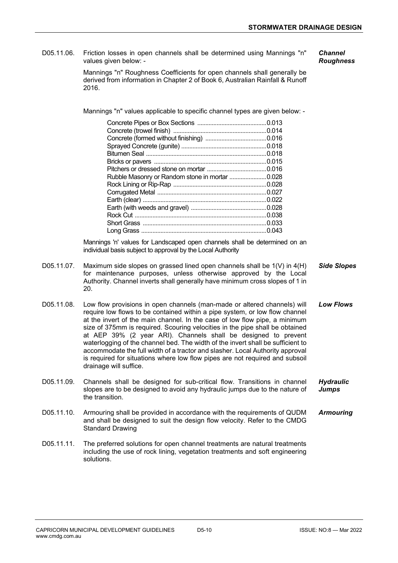D05.11.06. Friction losses in open channels shall be determined using Mannings "n" values given below: -

**Channel** Roughness

Mannings "n" Roughness Coefficients for open channels shall generally be derived from information in Chapter 2 of Book 6, Australian Rainfall & Runoff 2016.

Mannings "n" values applicable to specific channel types are given below: -

| Rubble Masonry or Random stone in mortar 0.028 |  |
|------------------------------------------------|--|
|                                                |  |
|                                                |  |
|                                                |  |
|                                                |  |
|                                                |  |
|                                                |  |
|                                                |  |

Mannings 'n' values for Landscaped open channels shall be determined on an individual basis subject to approval by the Local Authority

- D05.11.07. Maximum side slopes on grassed lined open channels shall be 1(V) in 4(H) for maintenance purposes, unless otherwise approved by the Local Authority. Channel inverts shall generally have minimum cross slopes of 1 in 20. Side Slopes
- D05.11.08. Low flow provisions in open channels (man-made or altered channels) will require low flows to be contained within a pipe system, or low flow channel at the invert of the main channel. In the case of low flow pipe, a minimum size of 375mm is required. Scouring velocities in the pipe shall be obtained at AEP 39% (2 year ARI). Channels shall be designed to prevent waterlogging of the channel bed. The width of the invert shall be sufficient to accommodate the full width of a tractor and slasher. Local Authority approval is required for situations where low flow pipes are not required and subsoil drainage will suffice. Low Flows
- D05.11.09. Channels shall be designed for sub-critical flow. Transitions in channel slopes are to be designed to avoid any hydraulic jumps due to the nature of the transition. **Hydraulic** Jumps
- D05.11.10. Armouring shall be provided in accordance with the requirements of QUDM and shall be designed to suit the design flow velocity. Refer to the CMDG Standard Drawing Armouring
- D05.11.11. The preferred solutions for open channel treatments are natural treatments including the use of rock lining, vegetation treatments and soft engineering solutions.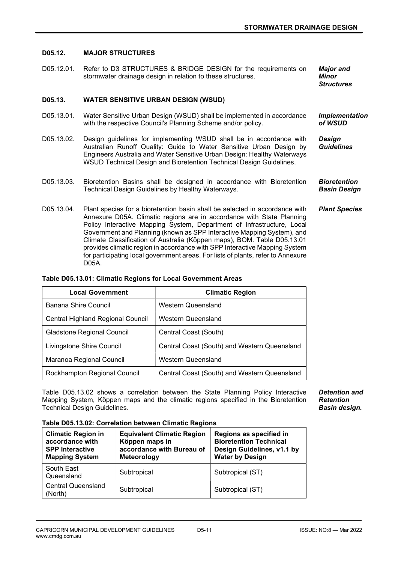#### D05.12. MAJOR STRUCTURES

D05.12.01. Refer to D3 STRUCTURES & BRIDGE DESIGN for the requirements on stormwater drainage design in relation to these structures. Major and Minor

**Structures** 

#### D05.13. WATER SENSITIVE URBAN DESIGN (WSUD)

- D05.13.01. Water Sensitive Urban Design (WSUD) shall be implemented in accordance with the respective Council's Planning Scheme and/or policy. Implementation  $of$  *WSIID*
- D05.13.02. Design guidelines for implementing WSUD shall be in accordance with Australian Runoff Quality: Guide to Water Sensitive Urban Design by Engineers Australia and Water Sensitive Urban Design: Healthy Waterways WSUD Technical Design and Bioretention Technical Design Guidelines. **Design Guidelines**
- D05.13.03. Bioretention Basins shall be designed in accordance with Bioretention Technical Design Guidelines by Healthy Waterways. **Bioretention** Basin Design
- D05.13.04. Plant species for a bioretention basin shall be selected in accordance with Annexure D05A. Climatic regions are in accordance with State Planning Policy Interactive Mapping System, Department of Infrastructure, Local Government and Planning (known as SPP Interactive Mapping System), and Climate Classification of Australia (Köppen maps), BOM. Table D05.13.01 provides climatic region in accordance with SPP Interactive Mapping System for participating local government areas. For lists of plants, refer to Annexure D05A. Plant Species

#### Table D05.13.01: Climatic Regions for Local Government Areas

| <b>Local Government</b>           | <b>Climatic Region</b>                       |  |  |
|-----------------------------------|----------------------------------------------|--|--|
| Banana Shire Council              | Western Queensland                           |  |  |
| Central Highland Regional Council | Western Queensland                           |  |  |
| <b>Gladstone Regional Council</b> | Central Coast (South)                        |  |  |
| Livingstone Shire Council         | Central Coast (South) and Western Queensland |  |  |
| Maranoa Regional Council          | Western Queensland                           |  |  |
| Rockhampton Regional Council      | Central Coast (South) and Western Queensland |  |  |

Table D05.13.02 shows a correlation between the State Planning Policy Interactive Mapping System, Köppen maps and the climatic regions specified in the Bioretention Technical Design Guidelines.

Detention and Retention Basin design.

Table D05.13.02: Correlation between Climatic Regions

| <b>Climatic Region in</b><br>accordance with<br><b>SPP Interactive</b><br><b>Mapping System</b> | <b>Equivalent Climatic Region</b><br>Köppen maps in<br>accordance with Bureau of<br>Meteorology | Regions as specified in<br><b>Bioretention Technical</b><br>Design Guidelines, v1.1 by<br><b>Water by Design</b> |
|-------------------------------------------------------------------------------------------------|-------------------------------------------------------------------------------------------------|------------------------------------------------------------------------------------------------------------------|
| South East<br>Queensland                                                                        | Subtropical                                                                                     | Subtropical (ST)                                                                                                 |
| <b>Central Queensland</b><br>(North)                                                            | Subtropical                                                                                     | Subtropical (ST)                                                                                                 |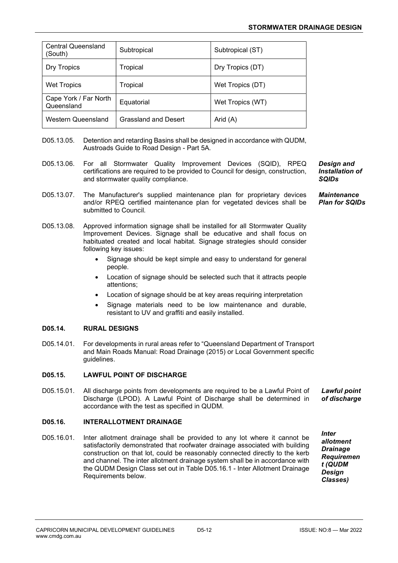| <b>Central Queensland</b><br>(South) | Subtropical          | Subtropical (ST) |
|--------------------------------------|----------------------|------------------|
| Dry Tropics                          | Tropical             | Dry Tropics (DT) |
| <b>Wet Tropics</b>                   | Tropical             | Wet Tropics (DT) |
| Cape York / Far North<br>Queensland  | Equatorial           | Wet Tropics (WT) |
| Western Queensland                   | Grassland and Desert | Arid (A)         |

- D05.13.05. Detention and retarding Basins shall be designed in accordance with QUDM, Austroads Guide to Road Design - Part 5A.
- D05.13.06. For all Stormwater Quality Improvement Devices (SQID), RPEQ certifications are required to be provided to Council for design, construction, and stormwater quality compliance.
- D05.13.07. The Manufacturer's supplied maintenance plan for proprietary devices and/or RPEQ certified maintenance plan for vegetated devices shall be submitted to Council.
- D05.13.08. Approved information signage shall be installed for all Stormwater Quality Improvement Devices. Signage shall be educative and shall focus on habituated created and local habitat. Signage strategies should consider following key issues:
	- Signage should be kept simple and easy to understand for general people.
	- Location of signage should be selected such that it attracts people attentions;
	- Location of signage should be at key areas requiring interpretation
	- Signage materials need to be low maintenance and durable, resistant to UV and graffiti and easily installed.

#### D05.14. RURAL DESIGNS

D05.14.01. For developments in rural areas refer to "Queensland Department of Transport and Main Roads Manual: Road Drainage (2015) or Local Government specific guidelines.

#### D05.15. LAWFUL POINT OF DISCHARGE

D05.15.01. All discharge points from developments are required to be a Lawful Point of Discharge (LPOD). A Lawful Point of Discharge shall be determined in accordance with the test as specified in QUDM. Lawful point of discharge

## D05.16. INTERALLOTMENT DRAINAGE

D05.16.01. Inter allotment drainage shall be provided to any lot where it cannot be satisfactorily demonstrated that roofwater drainage associated with building construction on that lot, could be reasonably connected directly to the kerb and channel. The inter allotment drainage system shall be in accordance with the QUDM Design Class set out in Table D05.16.1 - Inter Allotment Drainage Requirements below.

**Inter** allotment **Drainage** Requiremen t (QUDM Design Classes)

CAPRICORN MUNICIPAL DEVELOPMENT GUIDELINES D5-12 ISSUE: NO:8 — Mar 2022 www.cmdg.com.au

Design and Installation of **SQIDs** 

Maintenance Plan for SQIDs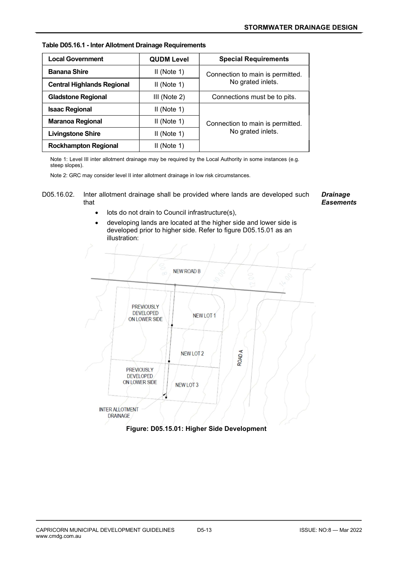| <b>Local Government</b>           | <b>QUDM Level</b> | <b>Special Requirements</b>      |
|-----------------------------------|-------------------|----------------------------------|
| <b>Banana Shire</b>               | $II$ (Note 1)     | Connection to main is permitted. |
| <b>Central Highlands Regional</b> | $II$ (Note 1)     | No grated inlets.                |
| <b>Gladstone Regional</b>         | $III$ (Note 2)    | Connections must be to pits.     |
| <b>Isaac Regional</b>             | $II$ (Note 1)     |                                  |
| <b>Maranoa Regional</b>           | II (Note 1)       | Connection to main is permitted. |
| <b>Livingstone Shire</b>          | $II$ (Note 1)     | No grated inlets.                |
| <b>Rockhampton Regional</b>       | II (Note 1)       |                                  |

Note 1: Level III inter allotment drainage may be required by the Local Authority in some instances (e.g. steep slopes).

Note 2: GRC may consider level II inter allotment drainage in low risk circumstances.



**Drainage Easements** 

- **•** lots do not drain to Council infrastructure(s),
- developing lands are located at the higher side and lower side is developed prior to higher side. Refer to figure D05.15.01 as an illustration:



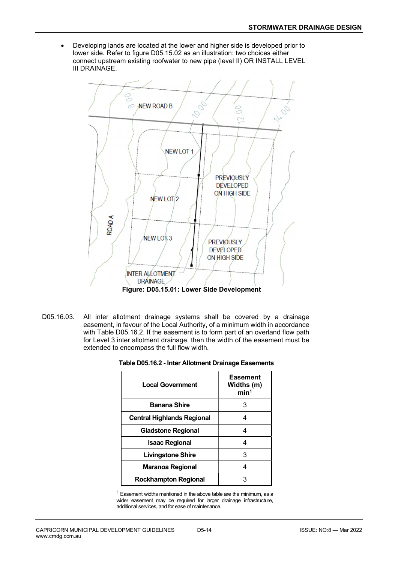Developing lands are located at the lower and higher side is developed prior to lower side. Refer to figure D05.15.02 as an illustration: two choices either connect upstream existing roofwater to new pipe (level II) OR INSTALL LEVEL III DRAINAGE.



D05.16.03. All inter allotment drainage systems shall be covered by a drainage easement, in favour of the Local Authority, of a minimum width in accordance with Table D05.16.2. If the easement is to form part of an overland flow path for Level 3 inter allotment drainage, then the width of the easement must be extended to encompass the full flow width.

| Table D05.16.2 - Inter Allotment Drainage Easements |  |  |
|-----------------------------------------------------|--|--|
|-----------------------------------------------------|--|--|

| <b>Local Government</b>           | <b>Easement</b><br>Widths (m)<br>min <sup>1</sup> |
|-----------------------------------|---------------------------------------------------|
| <b>Banana Shire</b>               | З                                                 |
| <b>Central Highlands Regional</b> | 4                                                 |
| <b>Gladstone Regional</b>         | Δ                                                 |
| <b>Isaac Regional</b>             | Δ                                                 |
| <b>Livingstone Shire</b>          | 3                                                 |
| <b>Maranoa Regional</b>           |                                                   |
| <b>Rockhampton Regional</b>       |                                                   |

<sup>1</sup> Easement widths mentioned in the above table are the minimum, as a wider easement may be required for larger drainage infrastructure, additional services, and for ease of maintenance.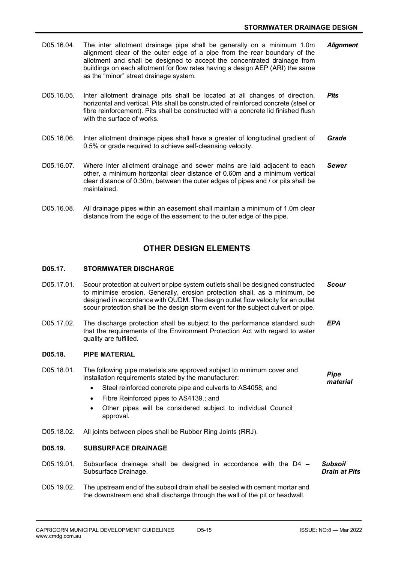- D05.16.04. The inter allotment drainage pipe shall be generally on a minimum 1.0m alignment clear of the outer edge of a pipe from the rear boundary of the allotment and shall be designed to accept the concentrated drainage from buildings on each allotment for flow rates having a design AEP (ARI) the same as the "minor" street drainage system. **Alianment**
- D05.16.05. Inter allotment drainage pits shall be located at all changes of direction, horizontal and vertical. Pits shall be constructed of reinforced concrete (steel or fibre reinforcement). Pits shall be constructed with a concrete lid finished flush with the surface of works. **Pits**
- D05.16.06. Inter allotment drainage pipes shall have a greater of longitudinal gradient of 0.5% or grade required to achieve self-cleansing velocity. Grade
- D05.16.07. Where inter allotment drainage and sewer mains are laid adjacent to each other, a minimum horizontal clear distance of 0.60m and a minimum vertical clear distance of 0.30m, between the outer edges of pipes and / or pits shall be maintained. Sewer
- D05.16.08. All drainage pipes within an easement shall maintain a minimum of 1.0m clear distance from the edge of the easement to the outer edge of the pipe.

## OTHER DESIGN ELEMENTS

#### D05.17. STORMWATER DISCHARGE

- D05.17.01. Scour protection at culvert or pipe system outlets shall be designed constructed to minimise erosion. Generally, erosion protection shall, as a minimum, be designed in accordance with QUDM. The design outlet flow velocity for an outlet scour protection shall be the design storm event for the subject culvert or pipe. Scour
- D05.17.02. The discharge protection shall be subject to the performance standard such that the requirements of the Environment Protection Act with regard to water quality are fulfilled. EPA

#### D05.18. PIPE MATERIAL

- D05.18.01. The following pipe materials are approved subject to minimum cover and installation requirements stated by the manufacturer: Pipe material
	- Steel reinforced concrete pipe and culverts to AS4058; and
	- Fibre Reinforced pipes to AS4139.; and
	- Other pipes will be considered subject to individual Council approval.
- D05.18.02. All joints between pipes shall be Rubber Ring Joints (RRJ).

#### D05.19. SUBSURFACE DRAINAGE

- D05.19.01. Subsurface drainage shall be designed in accordance with the D4 Subsurface Drainage. Subsoil Drain at Pits
- D05.19.02. The upstream end of the subsoil drain shall be sealed with cement mortar and the downstream end shall discharge through the wall of the pit or headwall.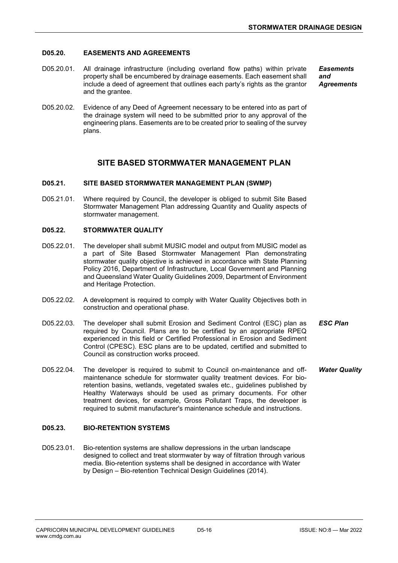#### D05.20. EASEMENTS AND AGREEMENTS

- D05.20.01. All drainage infrastructure (including overland flow paths) within private property shall be encumbered by drainage easements. Each easement shall include a deed of agreement that outlines each party's rights as the grantor and the grantee. **Easements** and **Agreements**
- D05.20.02. Evidence of any Deed of Agreement necessary to be entered into as part of the drainage system will need to be submitted prior to any approval of the engineering plans. Easements are to be created prior to sealing of the survey plans.

## SITE BASED STORMWATER MANAGEMENT PLAN

#### D05.21. SITE BASED STORMWATER MANAGEMENT PLAN (SWMP)

D05.21.01. Where required by Council, the developer is obliged to submit Site Based Stormwater Management Plan addressing Quantity and Quality aspects of stormwater management.

#### D05.22. STORMWATER QUALITY

- D05.22.01. The developer shall submit MUSIC model and output from MUSIC model as a part of Site Based Stormwater Management Plan demonstrating stormwater quality objective is achieved in accordance with State Planning Policy 2016, Department of Infrastructure, Local Government and Planning and Queensland Water Quality Guidelines 2009, Department of Environment and Heritage Protection.
- D05.22.02. A development is required to comply with Water Quality Objectives both in construction and operational phase.
- D05.22.03. The developer shall submit Erosion and Sediment Control (ESC) plan as required by Council. Plans are to be certified by an appropriate RPEQ experienced in this field or Certified Professional in Erosion and Sediment Control (CPESC). ESC plans are to be updated, certified and submitted to Council as construction works proceed. ESC Plan
- D05.22.04. The developer is required to submit to Council on-maintenance and offmaintenance schedule for stormwater quality treatment devices. For bioretention basins, wetlands, vegetated swales etc., guidelines published by Healthy Waterways should be used as primary documents. For other treatment devices, for example, Gross Pollutant Traps, the developer is required to submit manufacturer's maintenance schedule and instructions. Water Quality

#### D05.23. BIO-RETENTION SYSTEMS

D05.23.01. Bio-retention systems are shallow depressions in the urban landscape designed to collect and treat stormwater by way of filtration through various media. Bio-retention systems shall be designed in accordance with Water by Design – Bio-retention Technical Design Guidelines (2014).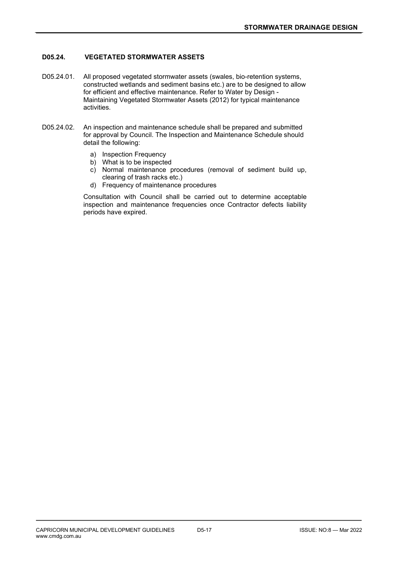## D05.24. VEGETATED STORMWATER ASSETS

- D05.24.01. All proposed vegetated stormwater assets (swales, bio-retention systems, constructed wetlands and sediment basins etc.) are to be designed to allow for efficient and effective maintenance. Refer to Water by Design - Maintaining Vegetated Stormwater Assets (2012) for typical maintenance activities.
- D05.24.02. An inspection and maintenance schedule shall be prepared and submitted for approval by Council. The Inspection and Maintenance Schedule should detail the following:
	- a) Inspection Frequency
	- b) What is to be inspected
	- c) Normal maintenance procedures (removal of sediment build up, clearing of trash racks etc.)
	- d) Frequency of maintenance procedures

Consultation with Council shall be carried out to determine acceptable inspection and maintenance frequencies once Contractor defects liability periods have expired.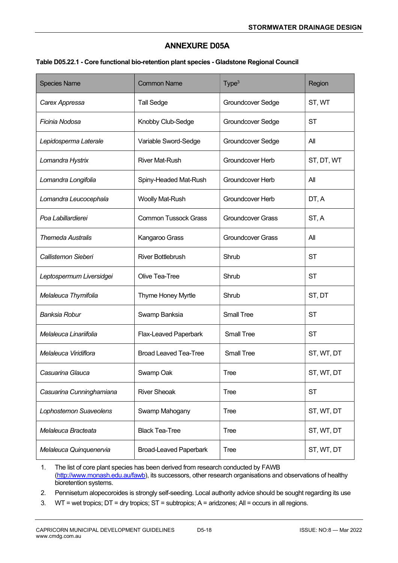## ANNEXURE D05A

#### Table D05.22.1 - Core functional bio-retention plant species - Gladstone Regional Council

| <b>Species Name</b>      | <b>Common Name</b>            | Type <sup>3</sup>        | Region     |
|--------------------------|-------------------------------|--------------------------|------------|
| Carex Appressa           | <b>Tall Sedge</b>             | Groundcover Sedge        | ST, WT     |
| Ficinia Nodosa           | Knobby Club-Sedge             | Groundcover Sedge        | <b>ST</b>  |
| Lepidosperma Laterale    | Variable Sword-Sedge          | Groundcover Sedge        | All        |
| Lomandra Hystrix         | <b>River Mat-Rush</b>         | Groundcover Herb         | ST, DT, WT |
| Lomandra Longifolia      | Spiny-Headed Mat-Rush         | Groundcover Herb         | All        |
| Lomandra Leucocephala    | <b>Woolly Mat-Rush</b>        | Groundcover Herb         | DT, A      |
| Poa Labillardierei       | <b>Common Tussock Grass</b>   | <b>Groundcover Grass</b> | ST, A      |
| <b>Themeda Australis</b> | Kangaroo Grass                | <b>Groundcover Grass</b> | All        |
| Callistemon Sieberi      | <b>River Bottlebrush</b>      | Shrub                    | <b>ST</b>  |
| Leptospermum Liversidgei | Olive Tea-Tree                | Shrub                    | <b>ST</b>  |
| Melaleuca Thymifolia     | Thyme Honey Myrtle            | Shrub                    | ST, DT     |
| <b>Banksia Robur</b>     | Swamp Banksia                 | <b>Small Tree</b>        | <b>ST</b>  |
| Melaleuca Linariifolia   | Flax-Leaved Paperbark         | <b>Small Tree</b>        | <b>ST</b>  |
| Melaleuca Viridiflora    | <b>Broad Leaved Tea-Tree</b>  | <b>Small Tree</b>        | ST, WT, DT |
| Casuarina Glauca         | Swamp Oak                     | <b>Tree</b>              | ST, WT, DT |
| Casuarina Cunninghamiana | <b>River Sheoak</b>           | <b>Tree</b>              | <b>ST</b>  |
| Lophostemon Suaveolens   | Swamp Mahogany                | <b>Tree</b>              | ST, WT, DT |
| Melaleuca Bracteata      | <b>Black Tea-Tree</b>         | <b>Tree</b>              | ST, WT, DT |
| Melaleuca Quinquenervia  | <b>Broad-Leaved Paperbark</b> | <b>Tree</b>              | ST, WT, DT |

1. The list of core plant species has been derived from research conducted by FAWB (http://www.monash.edu.au/fawb), its successors, other research organisations and observations of healthy bioretention systems.

2. Pennisetum alopecoroides is strongly self-seeding. Local authority advice should be sought regarding its use

3. WT = wet tropics; DT = dry tropics; ST = subtropics; A = aridzones; All = occurs in all regions.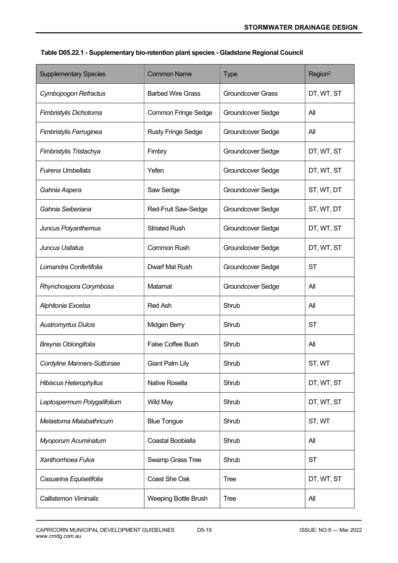| <b>Supplementary Species</b> | <b>Common Name</b>          | <b>Type</b>              | Region <sup>2</sup> |
|------------------------------|-----------------------------|--------------------------|---------------------|
| Cymbopogon Refractus         | <b>Barbed Wire Grass</b>    | <b>Groundcover Grass</b> | DT, WT, ST          |
| Fimbristylis Dichotoma       | <b>Common Fringe Sedge</b>  | Groundcover Sedge        | All                 |
| Fimbristylis Ferruginea      | <b>Rusty Fringe Sedge</b>   | Groundcover Sedge        | All                 |
| Fimbristylis Tristachya      | Fimbry                      | Groundcover Sedge        | DT, WT, ST          |
| Fuirena Umbellata            | Yefen                       | Groundcover Sedge        | DT, WT, ST          |
| Gahnia Aspera                | Saw Sedge                   | Groundcover Sedge        | ST, WT, DT          |
| Gahnia Seiberiana            | Red-Fruit Saw-Sedge         | Groundcover Sedge        | ST, WT, DT          |
| Juncus Polyanthemus          | <b>Striated Rush</b>        | Groundcover Sedge        | DT, WT, ST          |
| Juncus Usitatus              | <b>Common Rush</b>          | Groundcover Sedge        | DT, WT, ST          |
| Lomandra Confertifolia       | Dwarf Mat Rush              | Groundcover Sedge        | <b>ST</b>           |
| Rhynchospora Corymbosa       | Matamat                     | Groundcover Sedge        | All                 |
| Alphitonia Excelsa           | <b>Red Ash</b>              | Shrub                    | All                 |
| <b>Austromyrtus Dulcis</b>   | Midgen Berry                | Shrub                    | <b>ST</b>           |
| Breynia Oblongifolia         | False Coffee Bush           | Shrub                    | All                 |
| Cordyline Manners-Suttoniae  | <b>Giant Palm Lily</b>      | Shrub                    | ST, WT              |
| Hibiscus Heterophyllus       | Native Rosella              | Shrub                    | DT, WT, ST          |
| Leptospermum Polygalifolium  | <b>Wild May</b>             | Shrub                    | DT, WT, ST          |
| Melastoma Malabathricum      | <b>Blue Tongue</b>          | Shrub                    | ST, WT              |
| Myoporum Acuminatum          | Coastal Boobialla           | Shrub                    | All                 |
| Xanthorrhoea Fulva           | Swamp Grass Tree            | Shrub                    | <b>ST</b>           |
| Casuarina Equisetifolia      | Coast She Oak               | <b>Tree</b>              | DT, WT, ST          |
| Callistemon Viminalis        | <b>Weeping Bottle Brush</b> | <b>Tree</b>              | All                 |

## Table D05.22.1 - Supplementary bio-retention plant species - Gladstone Regional Council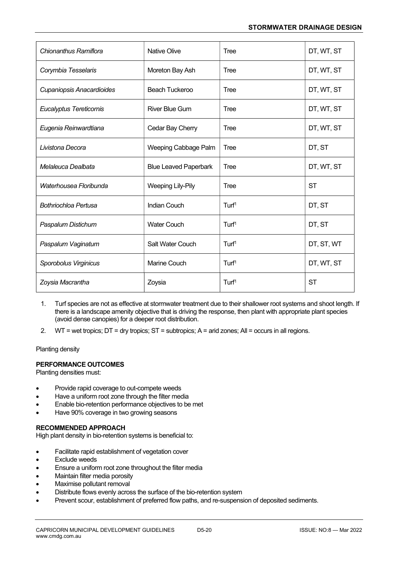| Chionanthus Ramiflora            | <b>Native Olive</b>          | <b>Tree</b>       | DT, WT, ST |
|----------------------------------|------------------------------|-------------------|------------|
| Corymbia Tesselaris              | Moreton Bay Ash              | <b>Tree</b>       | DT, WT, ST |
| <b>Cupaniopsis Anacardioides</b> | <b>Beach Tuckeroo</b>        | Tree              | DT, WT, ST |
| Eucalyptus Tereticornis          | <b>River Blue Gum</b>        | Tree              | DT, WT, ST |
| Eugenia Reinwardtiana            | Cedar Bay Cherry             | Tree              | DT, WT, ST |
| Livistona Decora                 | Weeping Cabbage Palm         | Tree              | DT, ST     |
| Melaleuca Dealbata               | <b>Blue Leaved Paperbark</b> | Tree              | DT, WT, ST |
| Waterhousea Floribunda           | <b>Weeping Lily-Pily</b>     | Tree              | <b>ST</b>  |
| <b>Bothriochloa Pertusa</b>      | <b>Indian Couch</b>          | Turf <sup>1</sup> | DT, ST     |
| Paspalum Distichum               | <b>Water Couch</b>           | Turf <sup>1</sup> | DT, ST     |
| Paspalum Vaginatum               | Salt Water Couch             | Turf <sup>1</sup> | DT, ST, WT |
| Sporobolus Virginicus            | <b>Marine Couch</b>          | Turf <sup>1</sup> | DT, WT, ST |
| Zoysia Macrantha                 | Zoysia                       | Turf <sup>1</sup> | <b>ST</b>  |

- 1. Turf species are not as effective at stormwater treatment due to their shallower root systems and shoot length. If there is a landscape amenity objective that is driving the response, then plant with appropriate plant species (avoid dense canopies) for a deeper root distribution.
- 2. WT = wet tropics; DT = dry tropics; ST = subtropics; A = arid zones; All = occurs in all regions.

Planting density

#### PERFORMANCE OUTCOMES

Planting densities must:

- Provide rapid coverage to out-compete weeds
- Have a uniform root zone through the filter media
- Enable bio-retention performance objectives to be met
- Have 90% coverage in two growing seasons

#### RECOMMENDED APPROACH

High plant density in bio-retention systems is beneficial to:

- Facilitate rapid establishment of vegetation cover
- Exclude weeds
- Ensure a uniform root zone throughout the filter media
- Maintain filter media porosity
- Maximise pollutant removal
- Distribute flows evenly across the surface of the bio-retention system
- Prevent scour, establishment of preferred flow paths, and re-suspension of deposited sediments.